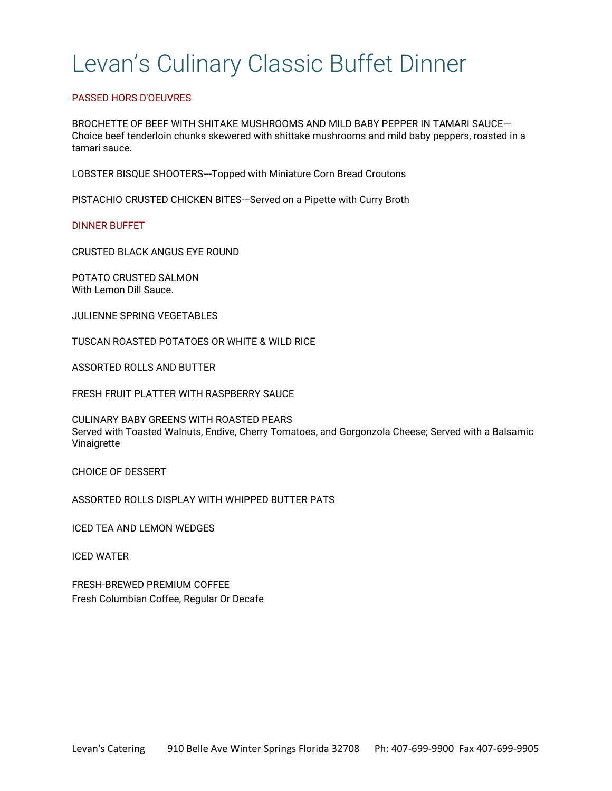# Levan's Culinary Classic Buffet Dinner

# PASSED HORS D'OEUVRES

BROCHETTE OF BEEF WITH SHITAKE MUSHROOMS AND MILD BABY PEPPER IN TAMARI SAUCE--- Choice beef tenderloin chunks skewered with shittake mushrooms and mild baby peppers, roasted in a tamari sauce.

LOBSTER BISQUE SHOOTERS---Topped with Miniature Corn Bread Croutons

PISTACHIO CRUSTED CHICKEN BITES---Served on a Pipette with Curry Broth

DINNER BUFFET

CRUSTED BLACK ANGUS EYE ROUND

POTATO CRUSTED SALMON With Lemon Dill Sauce.

JULIENNE SPRING VEGETABLES

TUSCAN ROASTED POTATOES OR WHITE & WILD RICE

ASSORTED ROLLS AND BUTTER

FRESH FRUIT PLATTER WITH RASPBERRY SAUCE

CULINARY BABY GREENS WITH ROASTED PEARS Served with Toasted Walnuts, Endive, Cherry Tomatoes, and Gorgonzola Cheese; Served with a Balsamic Vinaigrette

CHOICE OF DESSERT

ASSORTED ROLLS DISPLAY WITH WHIPPED BUTTER PATS

ICED TEA AND LEMON WEDGES

ICED WATER

FRESH-BREWED PREMIUM COFFEE Fresh Columbian Coffee, Regular Or Decafe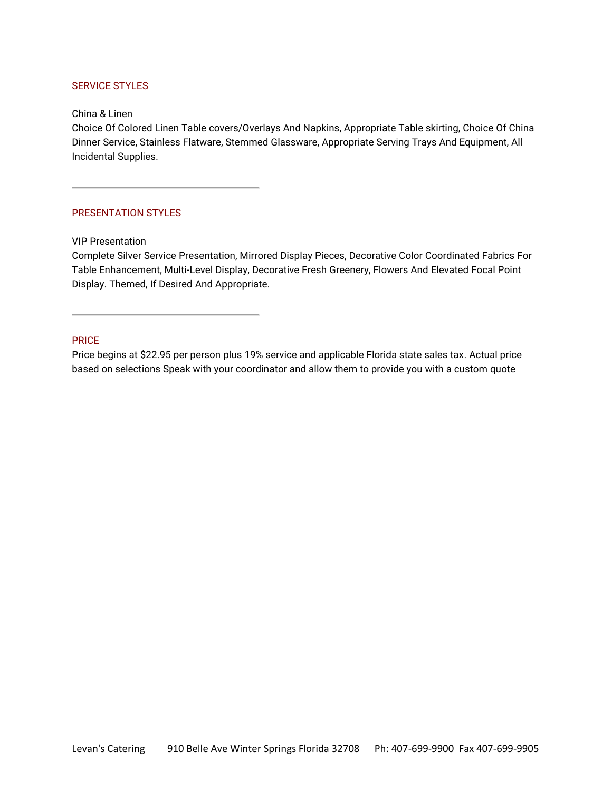# SERVICE STYLES

China & Linen

Choice Of Colored Linen Table covers/Overlays And Napkins, Appropriate Table skirting, Choice Of China Dinner Service, Stainless Flatware, Stemmed Glassware, Appropriate Serving Trays And Equipment, All Incidental Supplies.

### PRESENTATION STYLES

VIP Presentation

Complete Silver Service Presentation, Mirrored Display Pieces, Decorative Color Coordinated Fabrics For Table Enhancement, Multi-Level Display, Decorative Fresh Greenery, Flowers And Elevated Focal Point Display. Themed, If Desired And Appropriate.

## PRICE

Price begins at \$22.95 per person plus 19% service and applicable Florida state sales tax. Actual price based on selections Speak with your coordinator and allow them to provide you with a custom quote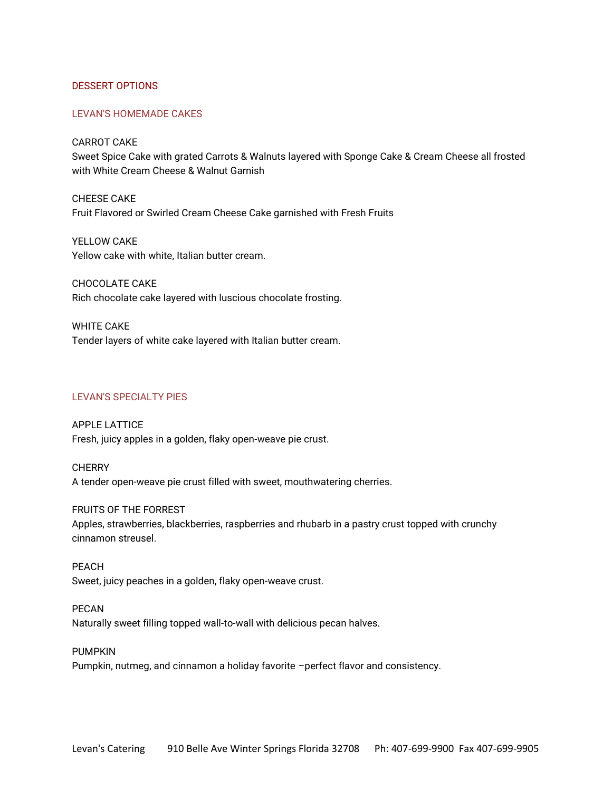## DESSERT OPTIONS

### LEVAN'S HOMEMADE CAKES

CARROT CAKE

Sweet Spice Cake with grated Carrots & Walnuts layered with Sponge Cake & Cream Cheese all frosted with White Cream Cheese & Walnut Garnish

CHEESE CAKE Fruit Flavored or Swirled Cream Cheese Cake garnished with Fresh Fruits

YELLOW CAKE Yellow cake with white, Italian butter cream.

CHOCOLATE CAKE Rich chocolate cake layered with luscious chocolate frosting.

WHITE CAKE Tender layers of white cake layered with Italian butter cream.

# LEVAN'S SPECIALTY PIES

APPLE LATTICE Fresh, juicy apples in a golden, flaky open-weave pie crust.

**CHERRY** A tender open-weave pie crust filled with sweet, mouthwatering cherries.

FRUITS OF THE FORREST Apples, strawberries, blackberries, raspberries and rhubarb in a pastry crust topped with crunchy cinnamon streusel.

PEACH Sweet, juicy peaches in a golden, flaky open-weave crust.

PECAN Naturally sweet filling topped wall-to-wall with delicious pecan halves.

PUMPKIN Pumpkin, nutmeg, and cinnamon a holiday favorite –perfect flavor and consistency.